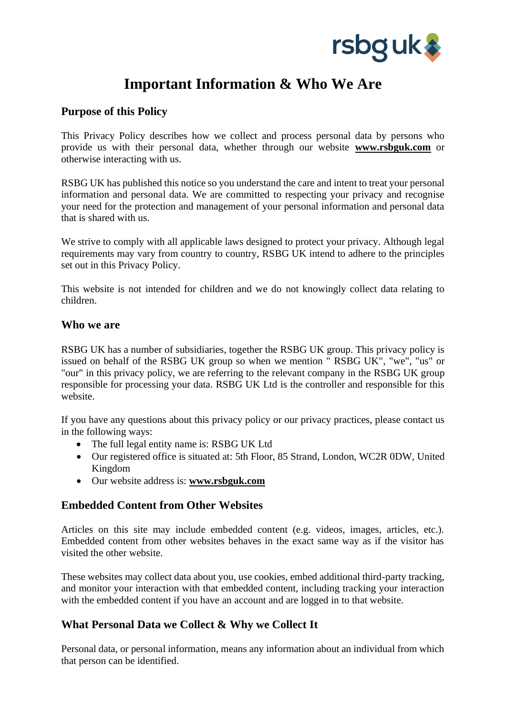

# **Important Information & Who We Are**

## **Purpose of this Policy**

This Privacy Policy describes how we collect and process personal data by persons who provide us with their personal data, whether through our website **www.rsbguk.com** or otherwise interacting with us.

RSBG UK has published this notice so you understand the care and intent to treat your personal information and personal data. We are committed to respecting your privacy and recognise your need for the protection and management of your personal information and personal data that is shared with us.

We strive to comply with all applicable laws designed to protect your privacy. Although legal requirements may vary from country to country, RSBG UK intend to adhere to the principles set out in this Privacy Policy.

This website is not intended for children and we do not knowingly collect data relating to children.

#### **Who we are**

RSBG UK has a number of subsidiaries, together the RSBG UK group. This privacy policy is issued on behalf of the RSBG UK group so when we mention " RSBG UK", "we", "us" or "our" in this privacy policy, we are referring to the relevant company in the RSBG UK group responsible for processing your data. RSBG UK Ltd is the controller and responsible for this website.

If you have any questions about this privacy policy or our privacy practices, please contact us in the following ways:

- The full legal entity name is: RSBG UK Ltd
- Our registered office is situated at: 5th Floor, 85 Strand, London, WC2R 0DW, United Kingdom
- Our website address is: **www.rsbguk.com**

#### **Embedded Content from Other Websites**

Articles on this site may include embedded content (e.g. videos, images, articles, etc.). Embedded content from other websites behaves in the exact same way as if the visitor has visited the other website.

These websites may collect data about you, use cookies, embed additional third-party tracking, and monitor your interaction with that embedded content, including tracking your interaction with the embedded content if you have an account and are logged in to that website.

# **What Personal Data we Collect & Why we Collect It**

Personal data, or personal information, means any information about an individual from which that person can be identified.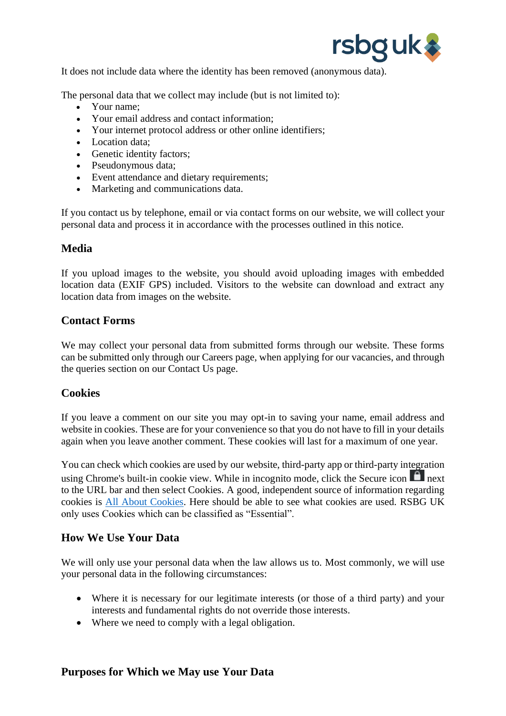

It does not include data where the identity has been removed (anonymous data).

The personal data that we collect may include (but is not limited to):

- Your name:
- Your email address and contact information;
- Your internet protocol address or other online identifiers;
- Location data;
- Genetic identity factors;
- Pseudonymous data;
- Event attendance and dietary requirements;
- Marketing and communications data.

If you contact us by telephone, email or via contact forms on our website, we will collect your personal data and process it in accordance with the processes outlined in this notice.

## **Media**

If you upload images to the website, you should avoid uploading images with embedded location data (EXIF GPS) included. Visitors to the website can download and extract any location data from images on the website.

#### **Contact Forms**

We may collect your personal data from submitted forms through our website. These forms can be submitted only through our Careers page, when applying for our vacancies, and through the queries section on our Contact Us page.

#### **Cookies**

If you leave a comment on our site you may opt-in to saving your name, email address and website in cookies. These are for your convenience so that you do not have to fill in your details again when you leave another comment. These cookies will last for a maximum of one year.

You can check which cookies are used by our website, third-party app or third-party integration using Chrome's built-in cookie view. While in incognito mode, click the Secure icon  $\blacksquare$  next to the URL bar and then select Cookies. A good, independent source of information regarding cookies is [All About Cookies.](http://www.allaboutcookies.org/) Here should be able to see what cookies are used. RSBG UK only uses Cookies which can be classified as "Essential".

#### **How We Use Your Data**

We will only use your personal data when the law allows us to. Most commonly, we will use your personal data in the following circumstances:

- Where it is necessary for our legitimate interests (or those of a third party) and your interests and fundamental rights do not override those interests.
- Where we need to comply with a legal obligation.

#### **Purposes for Which we May use Your Data**